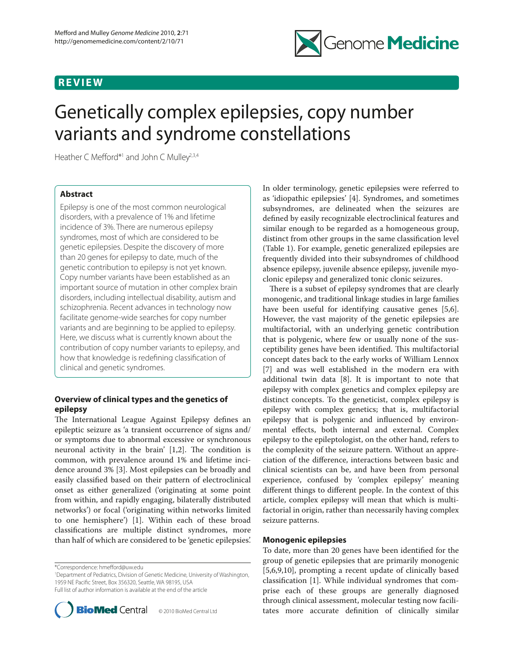## **REVIEW**



# Genetically complex epilepsies, copy number variants and syndrome constellations

Heather C Mefford\*<sup>1</sup> and John C Mulley<sup>2,3,4</sup>

## **Abstract**

Epilepsy is one of the most common neurological disorders, with a prevalence of 1% and lifetime incidence of 3%. There are numerous epilepsy syndromes, most of which are considered to be genetic epilepsies. Despite the discovery of more than 20 genes for epilepsy to date, much of the genetic contribution to epilepsy is not yet known. Copy number variants have been established as an important source of mutation in other complex brain disorders, including intellectual disability, autism and schizophrenia. Recent advances in technology now facilitate genome-wide searches for copy number variants and are beginning to be applied to epilepsy. Here, we discuss what is currently known about the contribution of copy number variants to epilepsy, and how that knowledge is redefining classification of clinical and genetic syndromes.

## **Overview of clinical types and the genetics of epilepsy**

The International League Against Epilepsy defines an epileptic seizure as 'a transient occurrence of signs and/ or symptoms due to abnormal excessive or synchronous neuronal activity in the brain'  $[1,2]$ . The condition is common, with prevalence around 1% and lifetime incidence around 3% [3]. Most epilepsies can be broadly and easily classified based on their pattern of electroclinical onset as either generalized ('originating at some point from within, and rapidly engaging, bilaterally distributed networks') or focal ('originating within networks limited to one hemisphere') [1]. Within each of these broad classifications are multiple distinct syndromes, more than half of which are considered to be 'genetic epilepsies'.

\*Correspondence: hmefford@uw.edu

1 Department of Pediatrics, Division of Genetic Medicine, University of Washington, 1959 NE Pacific Street, Box 356320, Seattle, WA 98195, USA Full list of author information is available at the end of the article



In older terminology, genetic epilepsies were referred to as 'idiopathic epilepsies' [4]. Syndromes, and sometimes subsyndromes, are delineated when the seizures are defined by easily recognizable electroclinical features and similar enough to be regarded as a homogeneous group, distinct from other groups in the same classification level (Table 1). For example, genetic generalized epilepsies are frequently divided into their subsyndromes of childhood absence epilepsy, juvenile absence epilepsy, juvenile myoclonic epilepsy and generalized tonic clonic seizures.

There is a subset of epilepsy syndromes that are clearly monogenic, and traditional linkage studies in large families have been useful for identifying causative genes [5,6]. However, the vast majority of the genetic epilepsies are multifactorial, with an underlying genetic contribution that is polygenic, where few or usually none of the susceptibility genes have been identified. This multifactorial concept dates back to the early works of William Lennox [7] and was well established in the modern era with additional twin data [8]. It is important to note that epilepsy with complex genetics and complex epilepsy are distinct concepts. To the geneticist, complex epilepsy is epilepsy with complex genetics; that is, multifactorial epilepsy that is polygenic and influenced by environmental effects, both internal and external. Complex epilepsy to the epileptologist, on the other hand, refers to the complexity of the seizure pattern. Without an appreciation of the difference, interactions between basic and clinical scientists can be, and have been from personal experience, confused by 'complex epilepsy' meaning different things to different people. In the context of this article, complex epilepsy will mean that which is multifactorial in origin, rather than necessarily having complex seizure patterns.

## **Monogenic epilepsies**

To date, more than 20 genes have been identified for the group of genetic epilepsies that are primarily monogenic [5,6,9,10], prompting a recent update of clinically based classification [1]. While individual syndromes that comprise each of these groups are generally diagnosed through clinical assessment, molecular testing now facilitates more accurate definition of clinically similar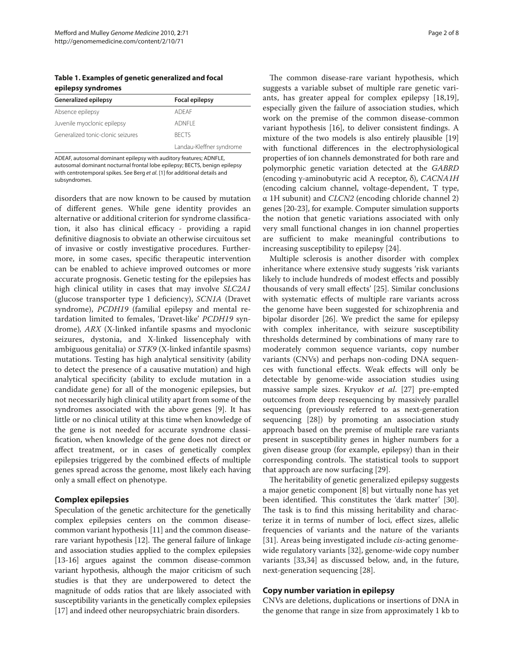| Table 1. Examples of genetic generalized and focal |  |
|----------------------------------------------------|--|
| epilepsy syndromes                                 |  |

| <b>Generalized epilepsy</b>       | Focal epilepsy           |  |
|-----------------------------------|--------------------------|--|
| Absence epilepsy                  | ADFAF                    |  |
| Juvenile myoclonic epilepsy       | ADNELE                   |  |
| Generalized tonic-clonic seizures | <b>BECTS</b>             |  |
|                                   | Landau-Kleffner syndrome |  |

ADEAF, autosomal dominant epilepsy with auditory features; ADNFLE, autosomal dominant nocturnal frontal lobe epilepsy; BECTS, benign epilepsy with centrotemporal spikes. See Berg *et al*. [1] for additional details and subsyndromes.

disorders that are now known to be caused by mutation of different genes. While gene identity provides an alternative or additional criterion for syndrome classification, it also has clinical efficacy - providing a rapid definitive diagnosis to obviate an otherwise circuitous set of invasive or costly investigative procedures. Furthermore, in some cases, specific therapeutic intervention can be enabled to achieve improved outcomes or more accurate prognosis. Genetic testing for the epilepsies has high clinical utility in cases that may involve *SLC2A1*  (glucose transporter type 1 deficiency), *SCN1A* (Dravet syndrome), *PCDH19* (familial epilepsy and mental retardation limited to females, 'Dravet-like' *PCDH19* syndrome)*, ARX* (X-linked infantile spasms and myoclonic seizures, dystonia, and X-linked lissencephaly with ambiguous genitalia) or *STK9* (X-linked infantile spasms) mutations. Testing has high analytical sensitivity (ability to detect the presence of a causative mutation) and high analytical specificity (ability to exclude mutation in a candidate gene) for all of the monogenic epilepsies, but not necessarily high clinical utility apart from some of the syndromes associated with the above genes [9]. It has little or no clinical utility at this time when knowledge of the gene is not needed for accurate syndrome classification, when knowledge of the gene does not direct or affect treatment, or in cases of genetically complex epilepsies triggered by the combined effects of multiple genes spread across the genome, most likely each having only a small effect on phenotype.

## **Complex epilepsies**

Speculation of the genetic architecture for the genetically complex epilepsies centers on the common diseasecommon variant hypothesis [11] and the common diseaserare variant hypothesis [12]. The general failure of linkage and association studies applied to the complex epilepsies [13-16] argues against the common disease-common variant hypothesis, although the major criticism of such studies is that they are underpowered to detect the magnitude of odds ratios that are likely associated with susceptibility variants in the genetically complex epilepsies [17] and indeed other neuropsychiatric brain disorders.

The common disease-rare variant hypothesis, which suggests a variable subset of multiple rare genetic variants, has greater appeal for complex epilepsy [18,19], especially given the failure of association studies, which work on the premise of the common disease-common variant hypothesis [16], to deliver consistent findings. A mixture of the two models is also entirely plausible [19] with functional differences in the electrophysiological properties of ion channels demonstrated for both rare and polymorphic genetic variation detected at the *GABRD* (encoding γ-aminobutyric acid A receptor, δ), *CACNA1H* (encoding calcium channel, voltage-dependent, T type, α 1H subunit) and *CLCN2* (encoding chloride channel 2) genes [20-23], for example. Computer simulation supports the notion that genetic variations associated with only very small functional changes in ion channel properties are sufficient to make meaningful contributions to increasing susceptibility to epilepsy [24].

Multiple sclerosis is another disorder with complex inheritance where extensive study suggests 'risk variants likely to include hundreds of modest effects and possibly thousands of very small effects' [25]. Similar conclusions with systematic effects of multiple rare variants across the genome have been suggested for schizophrenia and bipolar disorder [26]. We predict the same for epilepsy with complex inheritance, with seizure susceptibility thresholds determined by combinations of many rare to moderately common sequence variants, copy number variants (CNVs) and perhaps non-coding DNA sequences with functional effects. Weak effects will only be detectable by genome-wide association studies using massive sample sizes. Kryukov *et al*. [27] pre-empted outcomes from deep resequencing by massively parallel sequencing (previously referred to as next-generation sequencing [28]) by promoting an association study approach based on the premise of multiple rare variants present in susceptibility genes in higher numbers for a given disease group (for example, epilepsy) than in their corresponding controls. The statistical tools to support that approach are now surfacing [29].

The heritability of genetic generalized epilepsy suggests a major genetic component [8] but virtually none has yet been identified. This constitutes the 'dark matter' [30]. The task is to find this missing heritability and characterize it in terms of number of loci, effect sizes, allelic frequencies of variants and the nature of the variants [31]. Areas being investigated include *cis*-acting genomewide regulatory variants [32], genome-wide copy number variants [33,34] as discussed below, and, in the future, next-generation sequencing [28].

## **Copy number variation in epilepsy**

CNVs are deletions, duplications or insertions of DNA in the genome that range in size from approximately 1 kb to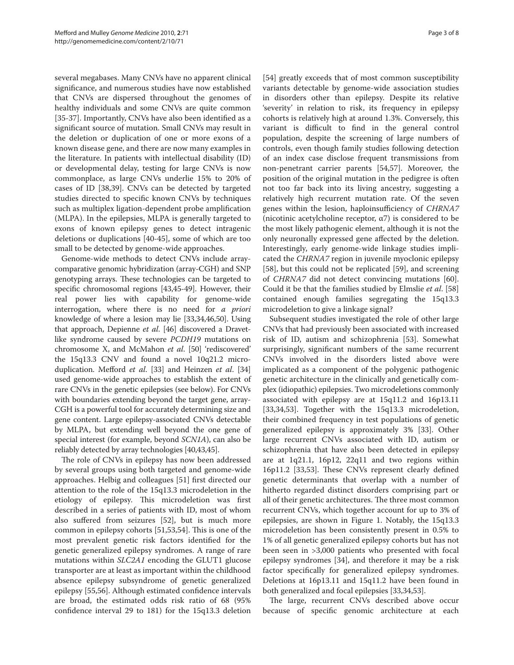several megabases. Many CNVs have no apparent clinical significance, and numerous studies have now established that CNVs are dispersed throughout the genomes of healthy individuals and some CNVs are quite common [35-37]. Importantly, CNVs have also been identified as a significant source of mutation. Small CNVs may result in the deletion or duplication of one or more exons of a known disease gene, and there are now many examples in the literature. In patients with intellectual disability (ID) or developmental delay, testing for large CNVs is now commonplace, as large CNVs underlie 15% to 20% of cases of ID [38,39]. CNVs can be detected by targeted studies directed to specific known CNVs by techniques such as multiplex ligation-dependent probe amplification (MLPA). In the epilepsies, MLPA is generally targeted to exons of known epilepsy genes to detect intragenic deletions or duplications [40-45], some of which are too small to be detected by genome-wide approaches.

Genome-wide methods to detect CNVs include arraycomparative genomic hybridization (array-CGH) and SNP genotyping arrays. These technologies can be targeted to specific chromosomal regions [43,45-49]. However, their real power lies with capability for genome-wide interrogation, where there is no need for *a priori* knowledge of where a lesion may lie [33,34,46,50]. Using that approach, Depienne *et al*. [46] discovered a Dravetlike syndrome caused by severe *PCDH19* mutations on chromosome X, and McMahon *et al*. [50] 'rediscovered' the 15q13.3 CNV and found a novel 10q21.2 microduplication. Mefford *et al*. [33] and Heinzen *et al*. [34] used genome-wide approaches to establish the extent of rare CNVs in the genetic epilepsies (see below). For CNVs with boundaries extending beyond the target gene, array-CGH is a powerful tool for accurately determining size and gene content. Large epilepsy-associated CNVs detectable by MLPA, but extending well beyond the one gene of special interest (for example, beyond *SCN1A*), can also be reliably detected by array technologies [40,43,45].

The role of CNVs in epilepsy has now been addressed by several groups using both targeted and genome-wide approaches. Helbig and colleagues [51] first directed our attention to the role of the 15q13.3 microdeletion in the etiology of epilepsy. This microdeletion was first described in a series of patients with ID, most of whom also suffered from seizures [52], but is much more common in epilepsy cohorts [51,53,54]. This is one of the most prevalent genetic risk factors identified for the genetic generalized epilepsy syndromes. A range of rare mutations within *SLC2A1* encoding the GLUT1 glucose transporter are at least as important within the childhood absence epilepsy subsyndrome of genetic generalized epilepsy [55,56]. Although estimated confidence intervals are broad, the estimated odds risk ratio of 68 (95% confidence interval 29 to 181) for the 15q13.3 deletion

[54] greatly exceeds that of most common susceptibility variants detectable by genome-wide association studies in disorders other than epilepsy. Despite its relative 'severity' in relation to risk, its frequency in epilepsy cohorts is relatively high at around 1.3%. Conversely, this variant is difficult to find in the general control population, despite the screening of large numbers of controls, even though family studies following detection of an index case disclose frequent transmissions from non-penetrant carrier parents [54,57]. Moreover, the position of the original mutation in the pedigree is often not too far back into its living ancestry, suggesting a relatively high recurrent mutation rate. Of the seven genes within the lesion, haploinsufficiency of *CHRNA7* (nicotinic acetylcholine receptor,  $\alpha$ 7) is considered to be the most likely pathogenic element, although it is not the only neuronally expressed gene affected by the deletion. Interestingly, early genome-wide linkage studies implicated the *CHRNA7* region in juvenile myoclonic epilepsy [58], but this could not be replicated [59], and screening of *CHRNA7* did not detect convincing mutations [60]. Could it be that the families studied by Elmslie *et al*. [58] contained enough families segregating the 15q13.3 microdeletion to give a linkage signal?

Subsequent studies investigated the role of other large CNVs that had previously been associated with increased risk of ID, autism and schizophrenia [53]. Somewhat surprisingly, significant numbers of the same recurrent CNVs involved in the disorders listed above were implicated as a component of the polygenic pathogenic genetic architecture in the clinically and genetically complex (idiopathic) epilepsies. Two microdeletions commonly associated with epilepsy are at 15q11.2 and 16p13.11 [33,34,53]. Together with the 15q13.3 microdeletion, their combined frequency in test populations of genetic generalized epilepsy is approximately 3% [33]. Other large recurrent CNVs associated with ID, autism or schizophrenia that have also been detected in epilepsy are at 1q21.1, 16p12, 22q11 and two regions within 16p11.2 [33,53]. These CNVs represent clearly defined genetic determinants that overlap with a number of hitherto regarded distinct disorders comprising part or all of their genetic architectures. The three most common recurrent CNVs, which together account for up to 3% of epilepsies, are shown in Figure 1. Notably, the 15q13.3 microdeletion has been consistently present in 0.5% to 1% of all genetic generalized epilepsy cohorts but has not been seen in >3,000 patients who presented with focal epilepsy syndromes [34], and therefore it may be a risk factor specifically for generalized epilepsy syndromes. Deletions at 16p13.11 and 15q11.2 have been found in both generalized and focal epilepsies [33,34,53].

The large, recurrent CNVs described above occur because of specific genomic architecture at each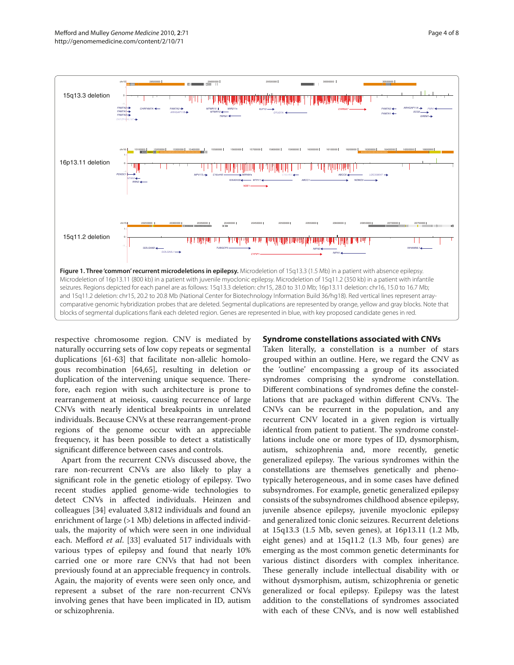

respective chromosome region. CNV is mediated by naturally occurring sets of low copy repeats or segmental duplications [61-63] that facilitate non-allelic homologous recombination [64,65], resulting in deletion or duplication of the intervening unique sequence. Therefore, each region with such architecture is prone to rearrangement at meiosis, causing recurrence of large CNVs with nearly identical breakpoints in unrelated individuals. Because CNVs at these rearrangement-prone regions of the genome occur with an appreciable frequency, it has been possible to detect a statistically significant difference between cases and controls.

Apart from the recurrent CNVs discussed above, the rare non-recurrent CNVs are also likely to play a significant role in the genetic etiology of epilepsy. Two recent studies applied genome-wide technologies to detect CNVs in affected individuals. Heinzen and colleagues [34] evaluated 3,812 individuals and found an enrichment of large (>1 Mb) deletions in affected individuals, the majority of which were seen in one individual each. Mefford *et al*. [33] evaluated 517 individuals with various types of epilepsy and found that nearly 10% carried one or more rare CNVs that had not been previously found at an appreciable frequency in controls. Again, the majority of events were seen only once, and represent a subset of the rare non-recurrent CNVs involving genes that have been implicated in ID, autism or schizophrenia.

## **Syndrome constellations associated with CNVs**

Taken literally, a constellation is a number of stars grouped within an outline. Here, we regard the CNV as the 'outline' encompassing a group of its associated syndromes comprising the syndrome constellation. Different combinations of syndromes define the constellations that are packaged within different CNVs. The CNVs can be recurrent in the population, and any recurrent CNV located in a given region is virtually identical from patient to patient. The syndrome constellations include one or more types of ID, dysmorphism, autism, schizophrenia and, more recently, genetic generalized epilepsy. The various syndromes within the constellations are themselves genetically and phenotypically heterogeneous, and in some cases have defined subsyndromes. For example, genetic generalized epilepsy consists of the subsyndromes childhood absence epilepsy, juvenile absence epilepsy, juvenile myoclonic epilepsy and generalized tonic clonic seizures. Recurrent deletions at 15q13.3 (1.5 Mb, seven genes), at 16p13.11 (1.2 Mb, eight genes) and at 15q11.2 (1.3 Mb, four genes) are emerging as the most common genetic determinants for various distinct disorders with complex inheritance. These generally include intellectual disability with or without dysmorphism, autism, schizophrenia or genetic generalized or focal epilepsy. Epilepsy was the latest addition to the constellations of syndromes associated with each of these CNVs, and is now well established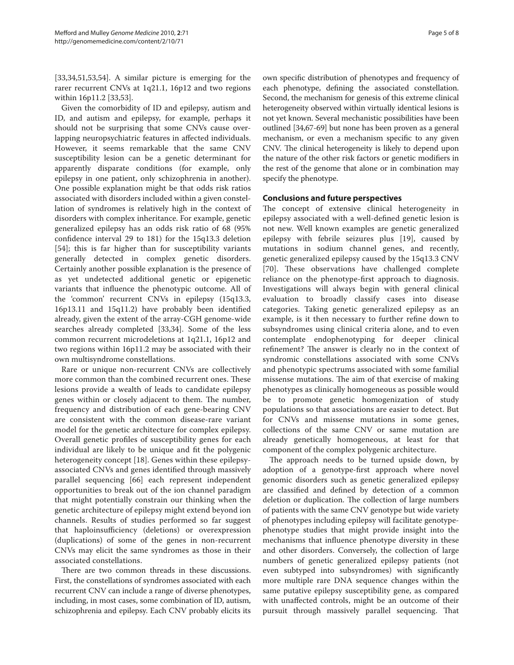[33,34,51,53,54]. A similar picture is emerging for the rarer recurrent CNVs at 1q21.1, 16p12 and two regions within 16p11.2 [33,53].

Given the comorbidity of ID and epilepsy, autism and ID, and autism and epilepsy, for example, perhaps it should not be surprising that some CNVs cause overlapping neuropsychiatric features in affected individuals. However, it seems remarkable that the same CNV susceptibility lesion can be a genetic determinant for apparently disparate conditions (for example, only epilepsy in one patient, only schizophrenia in another). One possible explanation might be that odds risk ratios associated with disorders included within a given constellation of syndromes is relatively high in the context of disorders with complex inheritance. For example, genetic generalized epilepsy has an odds risk ratio of 68 (95% confidence interval 29 to 181) for the 15q13.3 deletion [54]; this is far higher than for susceptibility variants generally detected in complex genetic disorders. Certainly another possible explanation is the presence of as yet undetected additional genetic or epigenetic variants that influence the phenotypic outcome. All of the 'common' recurrent CNVs in epilepsy (15q13.3, 16p13.11 and 15q11.2) have probably been identified already, given the extent of the array-CGH genome-wide searches already completed [33,34]. Some of the less common recurrent microdeletions at 1q21.1, 16p12 and two regions within 16p11.2 may be associated with their own multisyndrome constellations.

Rare or unique non-recurrent CNVs are collectively more common than the combined recurrent ones. These lesions provide a wealth of leads to candidate epilepsy genes within or closely adjacent to them. The number, frequency and distribution of each gene-bearing CNV are consistent with the common disease-rare variant model for the genetic architecture for complex epilepsy. Overall genetic profiles of susceptibility genes for each individual are likely to be unique and fit the polygenic heterogeneity concept [18]. Genes within these epilepsyassociated CNVs and genes identified through massively parallel sequencing [66] each represent independent opportunities to break out of the ion channel paradigm that might potentially constrain our thinking when the genetic architecture of epilepsy might extend beyond ion channels. Results of studies performed so far suggest that haploinsufficiency (deletions) or overexpression (duplications) of some of the genes in non-recurrent CNVs may elicit the same syndromes as those in their associated constellations.

There are two common threads in these discussions. First, the constellations of syndromes associated with each recurrent CNV can include a range of diverse phenotypes, including, in most cases, some combination of ID, autism, schizophrenia and epilepsy. Each CNV probably elicits its own specific distribution of phenotypes and frequency of each phenotype, defining the associated constellation. Second, the mechanism for genesis of this extreme clinical heterogeneity observed within virtually identical lesions is not yet known. Several mechanistic possibilities have been outlined [34,67-69] but none has been proven as a general mechanism, or even a mechanism specific to any given CNV. The clinical heterogeneity is likely to depend upon the nature of the other risk factors or genetic modifiers in the rest of the genome that alone or in combination may specify the phenotype.

### **Conclusions and future perspectives**

The concept of extensive clinical heterogeneity in epilepsy associated with a well-defined genetic lesion is not new. Well known examples are genetic generalized epilepsy with febrile seizures plus [19], caused by mutations in sodium channel genes, and recently, genetic generalized epilepsy caused by the 15q13.3 CNV [70]. These observations have challenged complete reliance on the phenotype-first approach to diagnosis. Investigations will always begin with general clinical evaluation to broadly classify cases into disease categories. Taking genetic generalized epilepsy as an example, is it then necessary to further refine down to subsyndromes using clinical criteria alone, and to even contemplate endophenotyping for deeper clinical refinement? The answer is clearly no in the context of syndromic constellations associated with some CNVs and phenotypic spectrums associated with some familial missense mutations. The aim of that exercise of making phenotypes as clinically homogeneous as possible would be to promote genetic homogenization of study populations so that associations are easier to detect. But for CNVs and missense mutations in some genes, collections of the same CNV or same mutation are already genetically homogeneous, at least for that component of the complex polygenic architecture.

The approach needs to be turned upside down, by adoption of a genotype-first approach where novel genomic disorders such as genetic generalized epilepsy are classified and defined by detection of a common deletion or duplication. The collection of large numbers of patients with the same CNV genotype but wide variety of phenotypes including epilepsy will facilitate genotypephenotype studies that might provide insight into the mechanisms that influence phenotype diversity in these and other disorders. Conversely, the collection of large numbers of genetic generalized epilepsy patients (not even subtyped into subsyndromes) with significantly more multiple rare DNA sequence changes within the same putative epilepsy susceptibility gene, as compared with unaffected controls, might be an outcome of their pursuit through massively parallel sequencing. That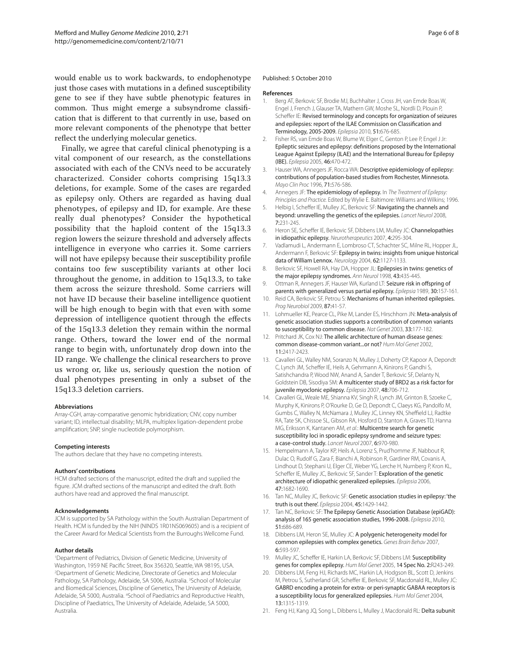would enable us to work backwards, to endophenotype just those cases with mutations in a defined susceptibility gene to see if they have subtle phenotypic features in common. Thus might emerge a subsyndrome classification that is different to that currently in use, based on more relevant components of the phenotype that better reflect the underlying molecular genetics.

Finally, we agree that careful clinical phenotyping is a vital component of our research, as the constellations associated with each of the CNVs need to be accurately characterized. Consider cohorts comprising 15q13.3 deletions, for example. Some of the cases are regarded as epilepsy only. Others are regarded as having dual phenotypes, of epilepsy and ID, for example. Are these really dual phenotypes? Consider the hypothetical possibility that the haploid content of the 15q13.3 region lowers the seizure threshold and adversely affects intelligence in everyone who carries it. Some carriers will not have epilepsy because their susceptibility profile contains too few susceptibility variants at other loci throughout the genome, in addition to 15q13.3, to take them across the seizure threshold. Some carriers will not have ID because their baseline intelligence quotient will be high enough to begin with that even with some depression of intelligence quotient through the effects of the 15q13.3 deletion they remain within the normal range. Others, toward the lower end of the normal range to begin with, unfortunately drop down into the ID range. We challenge the clinical researchers to prove us wrong or, like us, seriously question the notion of dual phenotypes presenting in only a subset of the 15q13.3 deletion carriers.

#### **Abbreviations**

Array-CGH, array-comparative genomic hybridization; CNV, copy number variant; ID, intellectual disability; MLPA, multiplex ligation-dependent probe amplification; SNP, single nucleotide polymorphism.

#### **Competing interests**

The authors declare that they have no competing interests.

#### **Authors' contributions**

HCM drafted sections of the manuscript, edited the draft and supplied the figure. JCM drafted sections of the manuscript and edited the draft. Both authors have read and approved the final manuscript.

#### **Acknowledgements**

JCM is supported by SA Pathology within the South Australian Department of Health. HCM is funded by the NIH (NINDS 1R01NS069605) and is a recipient of the Career Award for Medical Scientists from the Burroughs Wellcome Fund.

#### **Author details**

1 Department of Pediatrics, Division of Genetic Medicine, University of Washington, 1959 NE Pacific Street, Box 356320, Seattle, WA 98195, USA. 2 Department of Genetic Medicine, Directorate of Genetics and Molecular Pathology, SA Pathology, Adelaide, SA 5006, Australia. <sup>3</sup>School of Molecular and Biomedical Sciences, Discipline of Genetics, The University of Adelaide, Adelaide, SA 5000, Australia. <sup>4</sup>School of Paediatrics and Reproductive Health, Discipline of Paediatrics, The University of Adelaide, Adelaide, SA 5000, Australia.

#### Published: 5 October 2010

#### **References**

- Berg AT, Berkovic SF, Brodie MJ, Buchhalter J, Cross JH, van Emde Boas W, Engel J, French J, Glauser TA, Mathern GW, Moshe SL, Nordli D, Plouin P, Scheffer IE: Revised terminology and concepts for organization of seizures and epilepsies: report of the ILAE Commission on Classification and Terminology, 2005-2009. *Epilepsia* 2010, 51:676-685.
- 2. Fisher RS, van Emde Boas W, Blume W, Elger C, Genton P, Lee P, Engel J Jr: Epileptic seizures and epilepsy: definitions proposed by the International League Against Epilepsy (ILAE) and the International Bureau for Epilepsy (IBE). *Epilepsia* 2005, 46:470-472.
- 3. Hauser WA, Annegers JF, Rocca WA: Descriptive epidemiology of epilepsy: contributions of population-based studies from Rochester, Minnesota. *Mayo Clin Proc* 1996, 71:576-586.
- 4. Annegers JF: The epidemiology of epilepsy. In *The Treatment of Epilepsy: Principles and Practice.* Edited by Wylie E. Baltimore: Williams and Wilkins; 1996.
- Helbig I, Scheffer IE, Mulley JC, Berkovic SF: Navigating the channels and beyond: unravelling the genetics of the epilepsies. *Lancet Neurol* 2008, 7:231-245.
- 6. Heron SE, Scheffer IE, Berkovic SF, Dibbens LM, Mulley JC: Channelopathies in idiopathic epilepsy. *Neurotherapeutics* 2007, 4:295-304.
- 7. Vadlamudi L, Andermann E, Lombroso CT, Schachter SC, Milne RL, Hopper JL, Andermann F, Berkovic SF: Epilepsy in twins: insights from unique historical data of William Lennox. *Neurology* 2004, 62:1127-1133.
- 8. Berkovic SF, Howell RA, Hay DA, Hopper JL: Epilepsies in twins: genetics of the major epilepsy syndromes. *Ann Neurol* 1998, 43:435-445.
- 9. Ottman R, Annegers JF, Hauser WA, Kurland LT: Seizure risk in offspring of parents with generalized versus partial epilepsy. *Epilepsia* 1989, 30:157-161.
- 10. Reid CA, Berkovic SF, Petrou S: Mechanisms of human inherited epilepsies. *Prog Neurobiol* 2009, 87:41-57.
- 11. Lohmueller KE, Pearce CL, Pike M, Lander ES, Hirschhorn JN: Meta-analysis of genetic association studies supports a contribution of common variants to susceptibility to common disease. *Nat Genet* 2003, 33:177-182.
- 12. Pritchard JK, Cox NJ: The allelic architecture of human disease genes: common disease-common variant...or not? *Hum Mol Genet* 2002, 11:2417-2423.
- 13. Cavalleri GL, Walley NM, Soranzo N, Mulley J, Doherty CP, Kapoor A, Depondt C, Lynch JM, Scheffer IE, Heils A, Gehrmann A, Kinirons P, Gandhi S, Satishchandra P, Wood NW, Anand A, Sander T, Berkovic SF, Delanty N, Goldstein DB, Sisodiya SM: A multicenter study of BRD2 as a risk factor for juvenile myoclonic epilepsy. *Epilepsia* 2007, 48:706-712.
- 14. Cavalleri GL, Weale ME, Shianna KV, Singh R, Lynch JM, Grinton B, Szoeke C, Murphy K, Kinirons P, O'Rourke D, Ge D, Depondt C, Claeys KG, Pandolfo M, Gumbs C, Walley N, McNamara J, Mulley JC, Linney KN, Sheffield LJ, Radtke RA, Tate SK, Chissoe SL, Gibson RA, Hosford D, Stanton A, Graves TD, Hanna MG, Eriksson K, Kantanen AM, *et al*.: Multicentre search for genetic susceptibility loci in sporadic epilepsy syndrome and seizure types: a case-control study. *Lancet Neurol* 2007, 6:970-980.
- 15. Hempelmann A, Taylor KP, Heils A, Lorenz S, Prud'homme JF, Nabbout R, Dulac O, Rudolf G, Zara F, Bianchi A, Robinson R, Gardiner RM, Covanis A, Lindhout D, Stephani U, Elger CE, Weber YG, Lerche H, Nurnberg P, Kron KL, Scheffer IE, Mulley JC, Berkovic SF, Sander T: Exploration of the genetic architecture of idiopathic generalized epilepsies. *Epilepsia* 2006, 47:1682-1690.
- 16. Tan NC, Mulley JC, Berkovic SF: Genetic association studies in epilepsy: 'the truth is out there'. *Epilepsia* 2004, 45:1429-1442.
- 17. Tan NC, Berkovic SF: The Epilepsy Genetic Association Database (epiGAD): analysis of 165 genetic association studies, 1996-2008. *Epilepsia* 2010, 51:686-689.
- 18. Dibbens LM, Heron SE, Mulley JC: A polygenic heterogeneity model for common epilepsies with complex genetics. *Genes Brain Behav* 2007, 6:593-597.
- 19. Mulley JC, Scheffer IE, Harkin LA, Berkovic SF, Dibbens LM: Susceptibility genes for complex epilepsy. *Hum Mol Genet* 2005, 14 Spec No. 2:R243-249.
- 20. Dibbens LM, Feng HJ, Richards MC, Harkin LA, Hodgson BL, Scott D, Jenkins M, Petrou S, Sutherland GR, Scheffer IE, Berkovic SF, Macdonald RL, Mulley JC: GABRD encoding a protein for extra- or peri-synaptic GABAA receptors is a susceptibility locus for generalized epilepsies. *Hum Mol Genet* 2004, 13:1315-1319.
- 21. Feng HJ, Kang JQ, Song L, Dibbens L, Mulley J, Macdonald RL: Delta subunit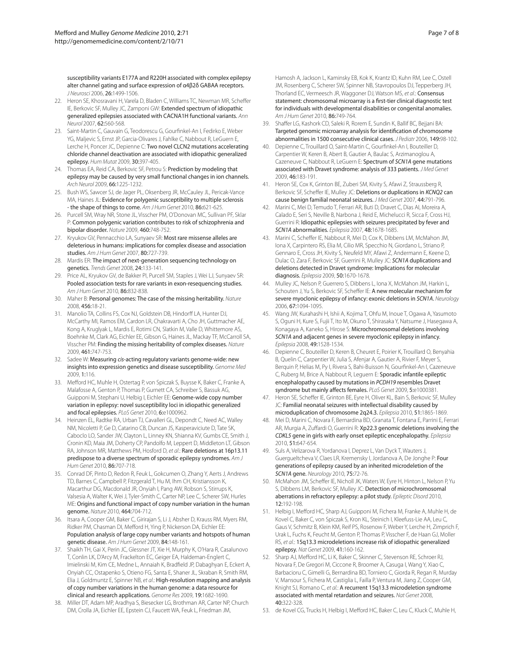susceptibility variants E177A and R220H associated with complex epilepsy alter channel gating and surface expression of α4β2δ GABAA receptors. *J Neurosci* 2006, 26:1499-1506.

- 22. Heron SE, Khosravani H, Varela D, Bladen C, Williams TC, Newman MR, Scheffer IE, Berkovic SF, Mulley JC, Zamponi GW: Extended spectrum of idiopathic generalized epilepsies associated with CACNA1H functional variants. *Ann Neurol* 2007, 62:560-568.
- 23. Saint-Martin C, Gauvain G, Teodorescu G, Gourfinkel-An I, Fedirko E, Weber YG, Maljevic S, Ernst JP, Garcia-Olivares J, Fahlke C, Nabbout R, LeGuern E, Lerche H, Poncer JC, Depienne C: Two novel CLCN2 mutations accelerating chloride channel deactivation are associated with idiopathic generalized epilepsy. *Hum Mutat* 2009, 30:397-405.
- 24. Thomas EA, Reid CA, Berkovic SF, Petrou S: Prediction by modeling that epilepsy may be caused by very small functional changes in ion channels. *Arch Neurol* 2009, 66:1225-1232.
- 25. Bush WS, Sawcer SJ, de Jager PL, Oksenberg JR, McCauley JL, Pericak-Vance MA, Haines JL: Evidence for polygenic susceptibility to multiple sclerosis - the shape of things to come. *Am J Hum Genet* 2010, 86:621-625.
- 26. Purcell SM, Wray NR, Stone JL, Visscher PM, O'Donovan MC, Sullivan PF, Sklar P: Common polygenic variation contributes to risk of schizophrenia and bipolar disorder. *Nature* 2009, 460:748-752.
- 27. Kryukov GV, Pennacchio LA, Sunyaev SR: Most rare missense alleles are deleterious in humans: implications for complex disease and association studies. *Am J Hum Genet* 2007, 80:727-739.
- 28. Mardis ER: The impact of next-generation sequencing technology on genetics. *Trends Genet* 2008, 24:133-141.
- 29. Price AL, Kryukov GV, de Bakker PI, Purcell SM, Staples J, Wei LJ, Sunyaev SR: Pooled association tests for rare variants in exon-resequencing studies. *Am J Hum Genet* 2010, 86:832-838.
- 30. Maher B: Personal genomes: The case of the missing heritability. *Nature*  2008, 456:18-21.
- 31. Manolio TA, Collins FS, Cox NJ, Goldstein DB, Hindorff LA, Hunter DJ, McCarthy MI, Ramos EM, Cardon LR, Chakravarti A, Cho JH, Guttmacher AE, Kong A, Kruglyak L, Mardis E, Rotimi CN, Slatkin M, Valle D, Whittemore AS, Boehnke M, Clark AG, Eichler EE, Gibson G, Haines JL, Mackay TF, McCarroll SA, Visscher PM: Finding the missing heritability of complex diseases. *Nature*  2009, 461:747-753.
- 32. Sadee W: Measuring *cis*-acting regulatory variants genome-wide: new insights into expression genetics and disease susceptibility. *Genome Med*  2009, 1:116.
- 33. Mefford HC, Muhle H, Ostertag P, von Spiczak S, Buysse K, Baker C, Franke A, Malafosse A, Genton P, Thomas P, Gurnett CA, Schreiber S, Bassuk AG, Guipponi M, Stephani U, Helbig I, Eichler EE: Genome-wide copy number variation in epilepsy: novel susceptibility loci in idiopathic generalized and focal epilepsies. *PLoS Genet* 2010, 6:e1000962.
- 34. Heinzen EL, Radtke RA, Urban TJ, Cavalleri GL, Depondt C, Need AC, Walley NM, Nicoletti P, Ge D, Catarino CB, Duncan JS, Kasperaviciute D, Tate SK, Caboclo LO, Sander JW, Clayton L, Linney KN, Shianna KV, Gumbs CE, Smith J, Cronin KD, Maia JM, Doherty CP, Pandolfo M, Leppert D, Middleton LT, Gibson RA, Johnson MR, Matthews PM, Hosford D, *et al*.: Rare deletions at 16p13.11 predispose to a diverse spectrum of sporadic epilepsy syndromes. *Am J Hum Genet* 2010, 86:707-718.
- 35. Conrad DF, Pinto D, Redon R, Feuk L, Gokcumen O, Zhang Y, Aerts J, Andrews TD, Barnes C, Campbell P, Fitzgerald T, Hu M, Ihm CH, Kristiansson K, Macarthur DG, Macdonald JR, Onyiah I, Pang AW, Robson S, Stirrups K, Valsesia A, Walter K, Wei J, Tyler-Smith C, Carter NP, Lee C, Scherer SW, Hurles ME: Origins and functional impact of copy number variation in the human genome. *Nature* 2010, 464:704-712.
- 36. Itsara A, Cooper GM, Baker C, Girirajan S, Li J, Absher D, Krauss RM, Myers RM, Ridker PM, Chasman DI, Mefford H, Ying P, Nickerson DA, Eichler EE: Population analysis of large copy number variants and hotspots of human genetic disease. *Am J Hum Genet* 2009, 84:148-161.
- 37. Shaikh TH, Gai X, Perin JC, Glessner JT, Xie H, Murphy K, O'Hara R, Casalunovo T, Conlin LK, D'Arcy M, Frackelton EC, Geiger EA, Haldeman-Englert C, Imielinski M, Kim CE, Medne L, Annaiah K, Bradfield JP, Dabaghyan E, Eckert A, Onyiah CC, Ostapenko S, Otieno FG, Santa E, Shaner JL, Skraban R, Smith RM, Elia J, Goldmuntz E, Spinner NB, *et al*.: High-resolution mapping and analysis of copy number variations in the human genome: a data resource for clinical and research applications. *Genome Res* 2009, 19:1682-1690.
- 38. Miller DT, Adam MP, Aradhya S, Biesecker LG, Brothman AR, Carter NP, Church DM, Crolla JA, Eichler EE, Epstein CJ, Faucett WA, Feuk L, Friedman JM,

Hamosh A, Jackson L, Kaminsky EB, Kok K, Krantz ID, Kuhn RM, Lee C, Ostell JM, Rosenberg C, Scherer SW, Spinner NB, Stavropoulos DJ, Tepperberg JH, Thorland EC, Vermeesch JR, Waggoner DJ, Watson MS, *et al*.: Consensus statement: chromosomal microarray is a first-tier clinical diagnostic test for individuals with developmental disabilities or congenital anomalies. *Am J Hum Genet* 2010, 86:749-764.

- 39. Shaffer LG, Kashork CD, Saleki R, Rorem E, Sundin K, Ballif BC, Bejjani BA: Targeted genomic microarray analysis for identification of chromosome abnormalities in 1500 consecutive clinical cases. *J Pediatr* 2006, 149:98-102.
- 40. Depienne C, Trouillard O, Saint-Martin C, Gourfinkel-An I, Bouteiller D, Carpentier W, Keren B, Abert B, Gautier A, Baulac S, Arzimanoglou A, Cazeneuve C, Nabbout R, LeGuern E: Spectrum of *SCN1A* gene mutations associated with Dravet syndrome: analysis of 333 patients. *J Med Genet*  2009, 46:183-191.
- 41. Heron SE, Cox K, Grinton BE, Zuberi SM, Kivity S, Afawi Z, Straussberg R, Berkovic SF, Scheffer IE, Mulley JC: Deletions or duplications in *KCNQ2* can cause benign familial neonatal seizures. *J Med Genet* 2007, 44:791-796.
- 42. Marini C, Mei D, Temudo T, Ferrari AR, Buti D, Dravet C, Dias AI, Moreira A, Calado E, Seri S, Neville B, Narbona J, Reid E, Michelucci R, Sicca F, Cross HJ, Guerrini R: Idiopathic epilepsies with seizures precipitated by fever and *SCN1A* abnormalities. *Epilepsia* 2007, 48:1678-1685.
- 43. Marini C, Scheffer IE, Nabbout R, Mei D, Cox K, Dibbens LM, McMahon JM, Iona X, Carpintero RS, Elia M, Cilio MR, Specchio N, Giordano L, Striano P, Gennaro E, Cross JH, Kivity S, Neufeld MY, Afawi Z, Andermann E, Keene D, Dulac O, Zara F, Berkovic SF, Guerrini R, Mulley JC: *SCN1A* duplications and deletions detected in Dravet syndrome: Implications for molecular diagnosis. *Epilepsia* 2009, 50:1670-1678.
- Mulley JC, Nelson P, Guerrero S, Dibbens L, Iona X, McMahon JM, Harkin L, Schouten J, Yu S, Berkovic SF, Scheffer IE: A new molecular mechanism for severe myoclonic epilepsy of infancy: exonic deletions in *SCN1A*. *Neurology*  2006, 67:1094-1095.
- 45. Wang JW, Kurahashi H, Ishii A, Kojima T, Ohfu M, Inoue T, Ogawa A, Yasumoto S, Oguni H, Kure S, Fujii T, Ito M, Okuno T, Shirasaka Y, Natsume J, Hasegawa A, Konagaya A, Kaneko S, Hirose S: Microchromosomal deletions involving *SCN1A* and adjacent genes in severe myoclonic epilepsy in infancy. *Epilepsia* 2008, 49:1528-1534.
- 46. Depienne C, Bouteiller D, Keren B, Cheuret E, Poirier K, Trouillard O, Benyahia B, Quelin C, Carpentier W, Julia S, Afenjar A, Gautier A, Rivier F, Meyer S, Berquin P, Helias M, Py I, Rivera S, Bahi-Buisson N, Gourfinkel-An I, Cazeneuve C, Ruberg M, Brice A, Nabbout R, Leguern E: Sporadic infantile epileptic encephalopathy caused by mutations in *PCDH19* resembles Dravet syndrome but mainly affects females. *PLoS Genet* 2009, 5:e1000381.
- 47. Heron SE, Scheffer IE, Grinton BE, Eyre H, Oliver KL, Bain S, Berkovic SF, Mulley JC: Familial neonatal seizures with intellectual disability caused by microduplication of chromosome 2q24.3. *Epilepsia* 2010, 51:1865-1869.
- 48. Mei D, Marini C, Novara F, Bernardina BD, Granata T, Fontana E, Parrini E, Ferrari AR, Murgia A, Zuffardi O, Guerrini R: Xp22.3 genomic deletions involving the *CDKL5* gene in girls with early onset epileptic encephalopathy. *Epilepsia*  2010, 51:647-654.
- 49. Suls A, Velizarova R, Yordanova I, Deprez L, Van Dyck T, Wauters J, Guergueltcheva V, Claes LR, Kremensky I, Jordanova A, De Jonghe P: Four generations of epilepsy caused by an inherited microdeletion of the *SCN1A* gene. *Neurology* 2010, 75:72-76.
- 50. McMahon JM, Scheffer IE, Nicholl JK, Waters W, Eyre H, Hinton L, Nelson P, Yu S, Dibbens LM, Berkovic SF, Mulley JC: Detection of microchromosomal aberrations in refractory epilepsy: a pilot study. *Epileptic Disord* 2010, 12:192-198.
- 51. Helbig I, Mefford HC, Sharp AJ, Guipponi M, Fichera M, Franke A, Muhle H, de Kovel C, Baker C, von Spiczak S, Kron KL, Steinich I, Kleefuss-Lie AA, Leu C, Gaus V, Schmitz B, Klein KM, Reif PS, Rosenow F, Weber Y, Lerche H, Zimprich F, Urak L, Fuchs K, Feucht M, Genton P, Thomas P, Visscher F, de Haan GJ, Moller RS, *et al*.: 15q13.3 microdeletions increase risk of idiopathic generalized epilepsy. *Nat Genet* 2009, 41:160-162.
- 52. Sharp AJ, Mefford HC, Li K, Baker C, Skinner C, Stevenson RE, Schroer RJ, Novara F, De Gregori M, Ciccone R, Broomer A, Casuga I, Wang Y, Xiao C, Barbacioru C, Gimelli G, Bernardina BD, Torniero C, Giorda R, Regan R, Murday V, Mansour S, Fichera M, Castiglia L, Failla P, Ventura M, Jiang Z, Cooper GM, Knight SJ, Romano C, *et al.*: A recurrent 15q13.3 microdeletion syndrome associated with mental retardation and seizures. *Nat Genet* 2008, 40:322-328.
- 53. de Kovel CG, Trucks H, Helbig I, Mefford HC, Baker C, Leu C, Kluck C, Muhle H,